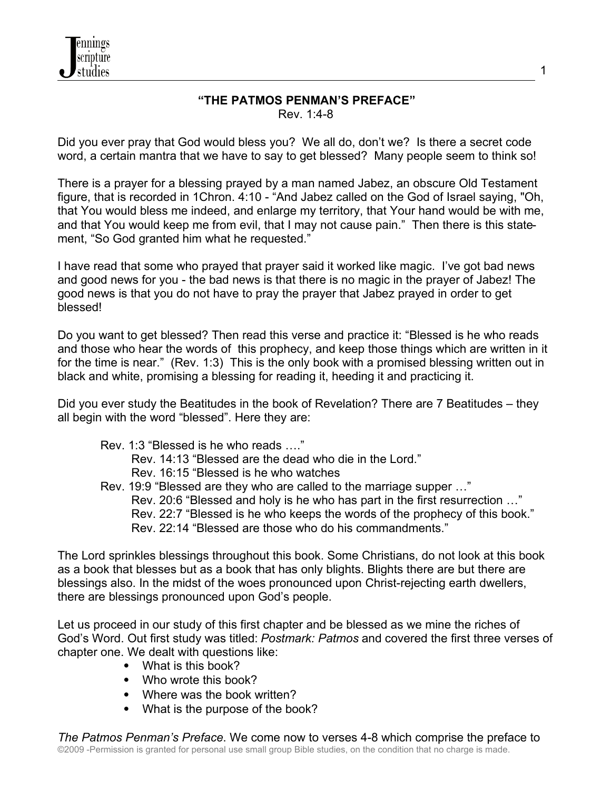

# **"THE PATMOS PENMAN'S PREFACE"**

Rev. 1:4-8

Did you ever pray that God would bless you? We all do, don't we? Is there a secret code word, a certain mantra that we have to say to get blessed? Many people seem to think so!

There is a prayer for a blessing prayed by a man named Jabez, an obscure Old Testament figure, that is recorded in 1Chron. 4:10 - "And Jabez called on the God of Israel saying, "Oh, that You would bless me indeed, and enlarge my territory, that Your hand would be with me, and that You would keep me from evil, that I may not cause pain." Then there is this statement, "So God granted him what he requested."

I have read that some who prayed that prayer said it worked like magic. I've got bad news and good news for you - the bad news is that there is no magic in the prayer of Jabez! The good news is that you do not have to pray the prayer that Jabez prayed in order to get blessed!

Do you want to get blessed? Then read this verse and practice it: "Blessed is he who reads and those who hear the words of this prophecy, and keep those things which are written in it for the time is near." (Rev. 1:3) This is the only book with a promised blessing written out in black and white, promising a blessing for reading it, heeding it and practicing it.

Did you ever study the Beatitudes in the book of Revelation? There are 7 Beatitudes – they all begin with the word "blessed". Here they are:

Rev. 1:3 "Blessed is he who reads …."

Rev. 14:13 "Blessed are the dead who die in the Lord."

Rev. 16:15 "Blessed is he who watches

Rev. 19:9 "Blessed are they who are called to the marriage supper …"

Rev. 20:6 "Blessed and holy is he who has part in the first resurrection …"

Rev. 22:7 "Blessed is he who keeps the words of the prophecy of this book."

Rev. 22:14 "Blessed are those who do his commandments."

The Lord sprinkles blessings throughout this book. Some Christians, do not look at this book as a book that blesses but as a book that has only blights. Blights there are but there are blessings also. In the midst of the woes pronounced upon Christ-rejecting earth dwellers, there are blessings pronounced upon God's people.

Let us proceed in our study of this first chapter and be blessed as we mine the riches of God's Word. Out first study was titled: *Postmark: Patmos* and covered the first three verses of chapter one. We dealt with questions like:

- What is this book?
- Who wrote this book?
- Where was the book written?
- What is the purpose of the book?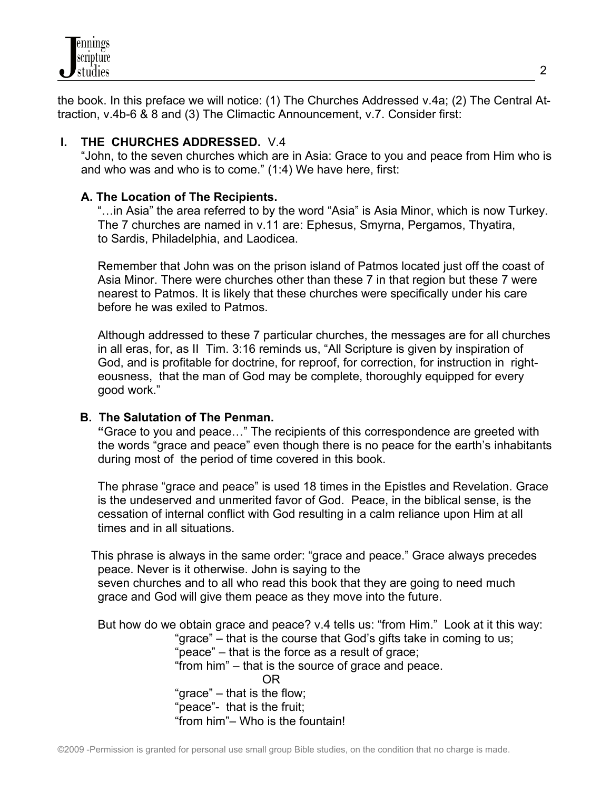the book. In this preface we will notice: (1) The Churches Addressed v.4a; (2) The Central Attraction, v.4b-6 & 8 and (3) The Climactic Announcement, v.7. Consider first:

## **I. THE CHURCHES ADDRESSED.** V.4

 "John, to the seven churches which are in Asia: Grace to you and peace from Him who is and who was and who is to come." (1:4) We have here, first:

### **A. The Location of The Recipients.**

"…in Asia" the area referred to by the word "Asia" is Asia Minor, which is now Turkey. The 7 churches are named in v.11 are: Ephesus, Smyrna, Pergamos, Thyatira, to Sardis, Philadelphia, and Laodicea.

 Remember that John was on the prison island of Patmos located just off the coast of Asia Minor. There were churches other than these 7 in that region but these 7 were nearest to Patmos. It is likely that these churches were specifically under his care before he was exiled to Patmos.

 Although addressed to these 7 particular churches, the messages are for all churches in all eras, for, as II Tim. 3:16 reminds us, "All Scripture is given by inspiration of God, and is profitable for doctrine, for reproof, for correction, for instruction in righteousness, that the man of God may be complete, thoroughly equipped for every good work."

## **B. The Salutation of The Penman.**

**"**Grace to you and peace…" The recipients of this correspondence are greeted with the words "grace and peace" even though there is no peace for the earth's inhabitants during most of the period of time covered in this book.

 The phrase "grace and peace" is used 18 times in the Epistles and Revelation. Grace is the undeserved and unmerited favor of God. Peace, in the biblical sense, is the cessation of internal conflict with God resulting in a calm reliance upon Him at all times and in all situations.

This phrase is always in the same order: "grace and peace." Grace always precedes peace. Never is it otherwise. John is saying to the seven churches and to all who read this book that they are going to need much grace and God will give them peace as they move into the future.

But how do we obtain grace and peace? v.4 tells us: "from Him." Look at it this way:

 "grace" – that is the course that God's gifts take in coming to us; "peace" – that is the force as a result of grace; "from him" – that is the source of grace and peace. **OR** Service Service Service Service Service Service Service Service Service Service Service Service Service Service Service Service Service Service Service Service Service Service Service Service Service Service Service S "grace" – that is the flow; "peace"- that is the fruit; "from him"– Who is the fountain!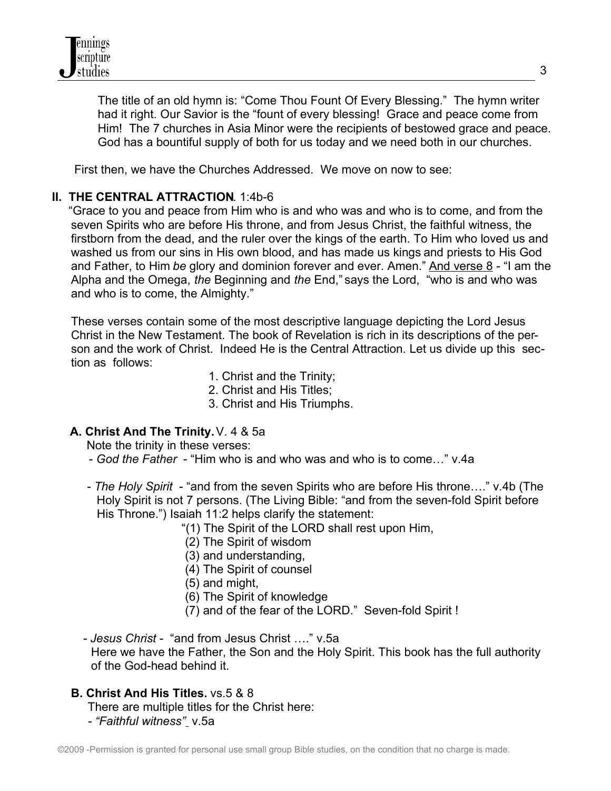

 The title of an old hymn is: "Come Thou Fount Of Every Blessing." The hymn writer had it right. Our Savior is the "fount of every blessing! Grace and peace come from Him! The 7 churches in Asia Minor were the recipients of bestowed grace and peace. God has a bountiful supply of both for us today and we need both in our churches.

First then, we have the Churches Addressed. We move on now to see:

### **II. THE CENTRAL ATTRACTION**. 1:4b-6

 "Grace to you and peace from Him who is and who was and who is to come, and from the seven Spirits who are before His throne, and from Jesus Christ, the faithful witness, the firstborn from the dead, and the ruler over the kings of the earth. To Him who loved us and washed us from our sins in His own blood, and has made us kings and priests to His God and Father, to Him *be* glory and dominion forever and ever. Amen." And verse 8 - "I am the Alpha and the Omega, *the* Beginning and *the* End," says the Lord, "who is and who was and who is to come, the Almighty."

These verses contain some of the most descriptive language depicting the Lord Jesus Christ in the New Testament. The book of Revelation is rich in its descriptions of the person and the work of Christ. Indeed He is the Central Attraction. Let us divide up this section as follows:

- 1. Christ and the Trinity;
- 2. Christ and His Titles;
- 3. Christ and His Triumphs.

#### **A. Christ And The Trinity.** V. 4 & 5a

Note the trinity in these verses:

- *God the Father*  "Him who is and who was and who is to come…" v.4a
- *The Holy Spirit*  "and from the seven Spirits who are before His throne…." v.4b (The Holy Spirit is not 7 persons. (The Living Bible: "and from the seven-fold Spirit before His Throne.") Isaiah 11:2 helps clarify the statement:
	- "(1) The Spirit of the LORD shall rest upon Him,
	- (2) The Spirit of wisdom
	- (3) and understanding,
	- (4) The Spirit of counsel
	- (5) and might,
	- (6) The Spirit of knowledge
	- (7) and of the fear of the LORD." Seven-fold Spirit !
- *Jesus Christ*  "and from Jesus Christ …." v.5a Here we have the Father, the Son and the Holy Spirit. This book has the full authority of the God-head behind it.

#### **B. Christ And His Titles.** vs.5 & 8

- There are multiple titles for the Christ here:
- *"Faithful witness"* v.5a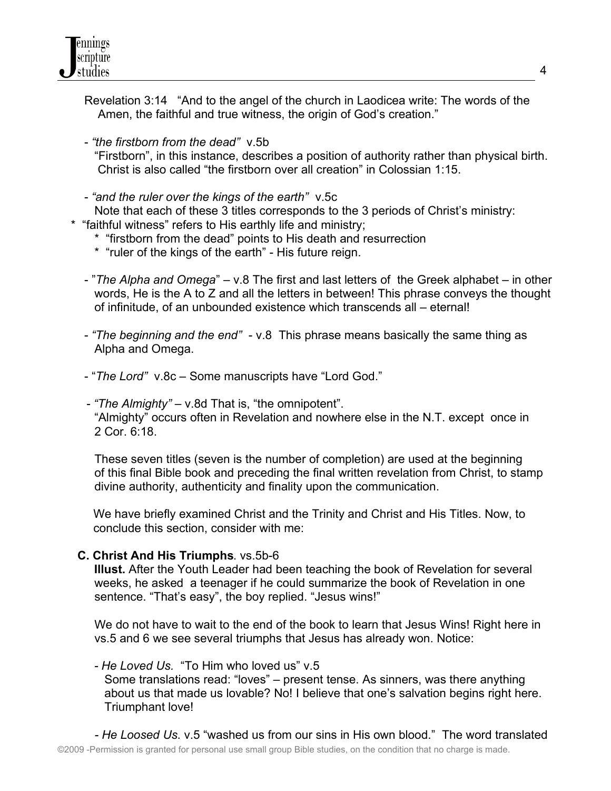Revelation 3:14 "And to the angel of the church in Laodicea write: The words of the Amen, the faithful and true witness, the origin of God's creation."

- *"the firstborn from the dead"* v.5b

 "Firstborn", in this instance, describes a position of authority rather than physical birth. Christ is also called "the firstborn over all creation" in Colossian 1:15.

- *"and the ruler over the kings of the earth"* v.5c

Note that each of these 3 titles corresponds to the 3 periods of Christ's ministry:

- \* "faithful witness" refers to His earthly life and ministry;
	- \* "firstborn from the dead" points to His death and resurrection
	- \* "ruler of the kings of the earth" His future reign.
	- "*The Alpha and Omega*" v.8 The first and last letters of the Greek alphabet in other words, He is the A to Z and all the letters in between! This phrase conveys the thought of infinitude, of an unbounded existence which transcends all – eternal!
	- *"The beginning and the end"* v.8 This phrase means basically the same thing as Alpha and Omega.
	- "*The Lord"* v.8c Some manuscripts have "Lord God."
	- *"The Almighty"* v.8d That is, "the omnipotent". "Almighty" occurs often in Revelation and nowhere else in the N.T. except once in 2 Cor. 6:18.

 These seven titles (seven is the number of completion) are used at the beginning of this final Bible book and preceding the final written revelation from Christ, to stamp divine authority, authenticity and finality upon the communication.

 We have briefly examined Christ and the Trinity and Christ and His Titles. Now, to conclude this section, consider with me:

## **C. Christ And His Triumphs**. vs.5b-6

 **Illust.** After the Youth Leader had been teaching the book of Revelation for several weeks, he asked a teenager if he could summarize the book of Revelation in one sentence. "That's easy", the boy replied. "Jesus wins!"

 We do not have to wait to the end of the book to learn that Jesus Wins! Right here in vs.5 and 6 we see several triumphs that Jesus has already won. Notice:

 - *He Loved Us.* "To Him who loved us" v.5 Some translations read: "loves" – present tense. As sinners, was there anything about us that made us lovable? No! I believe that one's salvation begins right here. Triumphant love!

 *- He Loosed Us*. v.5 "washed us from our sins in His own blood." The word translated ©2009 -Permission is granted for personal use small group Bible studies, on the condition that no charge is made.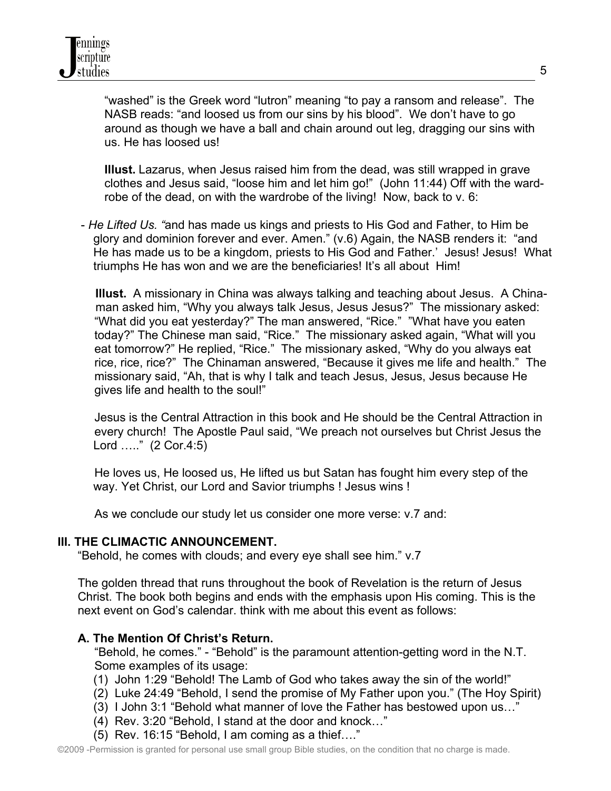"washed" is the Greek word "lutron" meaning "to pay a ransom and release". The NASB reads: "and loosed us from our sins by his blood". We don't have to go around as though we have a ball and chain around out leg, dragging our sins with us. He has loosed us!

 **Illust.** Lazarus, when Jesus raised him from the dead, was still wrapped in grave clothes and Jesus said, "loose him and let him go!" (John 11:44) Off with the ward robe of the dead, on with the wardrobe of the living! Now, back to v. 6:

- *He Lifted Us. "*and has made us kings and priests to His God and Father, to Him be glory and dominion forever and ever. Amen." (v.6) Again, the NASB renders it: "and He has made us to be a kingdom, priests to His God and Father.' Jesus! Jesus! What triumphs He has won and we are the beneficiaries! It's all about Him!

 **Illust.** A missionary in China was always talking and teaching about Jesus. A China man asked him, "Why you always talk Jesus, Jesus Jesus?" The missionary asked: "What did you eat yesterday?" The man answered, "Rice." "What have you eaten today?" The Chinese man said, "Rice." The missionary asked again, "What will you eat tomorrow?" He replied, "Rice." The missionary asked, "Why do you always eat rice, rice, rice?" The Chinaman answered, "Because it gives me life and health." The missionary said, "Ah, that is why I talk and teach Jesus, Jesus, Jesus because He gives life and health to the soul!"

 Jesus is the Central Attraction in this book and He should be the Central Attraction in every church! The Apostle Paul said, "We preach not ourselves but Christ Jesus the Lord ….." (2 Cor.4:5)

 He loves us, He loosed us, He lifted us but Satan has fought him every step of the way. Yet Christ, our Lord and Savior triumphs ! Jesus wins !

As we conclude our study let us consider one more verse: v.7 and:

#### **III. THE CLIMACTIC ANNOUNCEMENT.**

"Behold, he comes with clouds; and every eye shall see him." v.7

 The golden thread that runs throughout the book of Revelation is the return of Jesus Christ. The book both begins and ends with the emphasis upon His coming. This is the next event on God's calendar. think with me about this event as follows:

## **A. The Mention Of Christ's Return.**

 "Behold, he comes." - "Behold" is the paramount attention-getting word in the N.T. Some examples of its usage:

- (1) John 1:29 "Behold! The Lamb of God who takes away the sin of the world!"
- (2) Luke 24:49 "Behold, I send the promise of My Father upon you." (The Hoy Spirit)
- (3) I John 3:1 "Behold what manner of love the Father has bestowed upon us…"
- (4) Rev. 3:20 "Behold, I stand at the door and knock…"
- (5) Rev. 16:15 "Behold, I am coming as a thief…."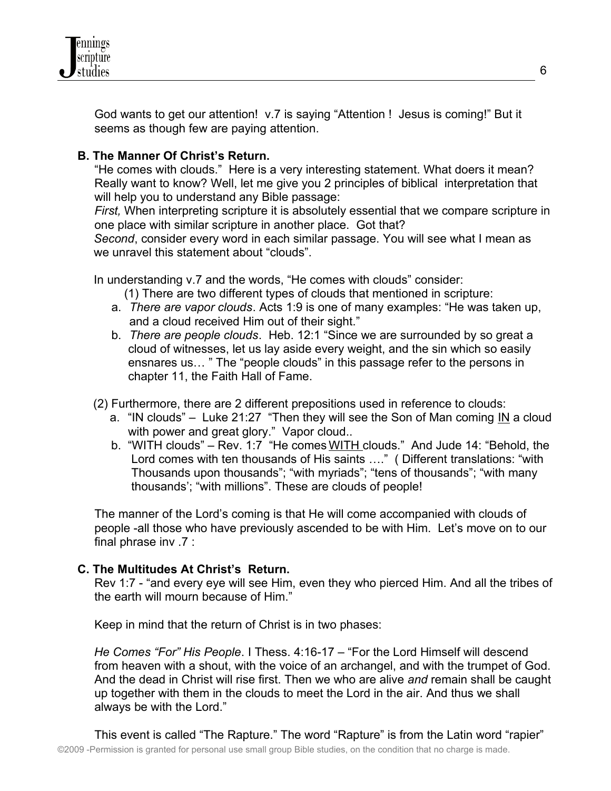

 God wants to get our attention! v.7 is saying "Attention ! Jesus is coming!" But it seems as though few are paying attention.

### **B. The Manner Of Christ's Return.**

 "He comes with clouds." Here is a very interesting statement. What doers it mean? Really want to know? Well, let me give you 2 principles of biblical interpretation that will help you to understand any Bible passage:

 *First,* When interpreting scripture it is absolutely essential that we compare scripture in one place with similar scripture in another place. Got that?

 *Second*, consider every word in each similar passage. You will see what I mean as we unravel this statement about "clouds".

In understanding v.7 and the words, "He comes with clouds" consider:

(1) There are two different types of clouds that mentioned in scripture:

- a. *There are vapor clouds*. Acts 1:9 is one of many examples: "He was taken up, and a cloud received Him out of their sight."
- b. *There are people clouds*. Heb. 12:1 "Since we are surrounded by so great a cloud of witnesses, let us lay aside every weight, and the sin which so easily ensnares us… " The "people clouds" in this passage refer to the persons in chapter 11, the Faith Hall of Fame.
- (2) Furthermore, there are 2 different prepositions used in reference to clouds:
	- a. "IN clouds" Luke 21:27 "Then they will see the Son of Man coming IN a cloud with power and great glory." Vapor cloud..
	- b. "WITH clouds" Rev. 1:7 "He comes WITH clouds." And Jude 14: "Behold, the Lord comes with ten thousands of His saints ...." ( Different translations: "with Thousands upon thousands"; "with myriads"; "tens of thousands"; "with many thousands'; "with millions". These are clouds of people!

 The manner of the Lord's coming is that He will come accompanied with clouds of people -all those who have previously ascended to be with Him. Let's move on to our final phrase inv .7 :

#### **C. The Multitudes At Christ's Return.**

 Rev 1:7 - "and every eye will see Him, even they who pierced Him. And all the tribes of the earth will mourn because of Him."

Keep in mind that the return of Christ is in two phases:

 *He Comes "For" His People*. I Thess. 4:16-17 – "For the Lord Himself will descend from heaven with a shout, with the voice of an archangel, and with the trumpet of God. And the dead in Christ will rise first. Then we who are alive *and* remain shall be caught up together with them in the clouds to meet the Lord in the air. And thus we shall always be with the Lord."